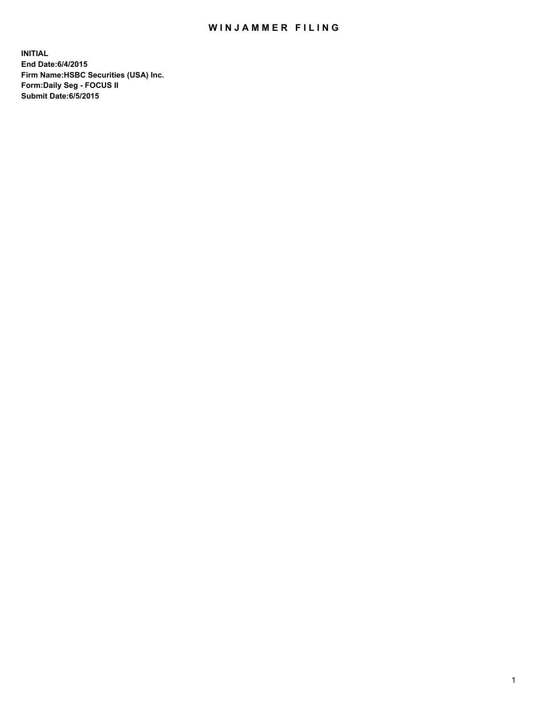## WIN JAMMER FILING

**INITIAL End Date:6/4/2015 Firm Name:HSBC Securities (USA) Inc. Form:Daily Seg - FOCUS II Submit Date:6/5/2015**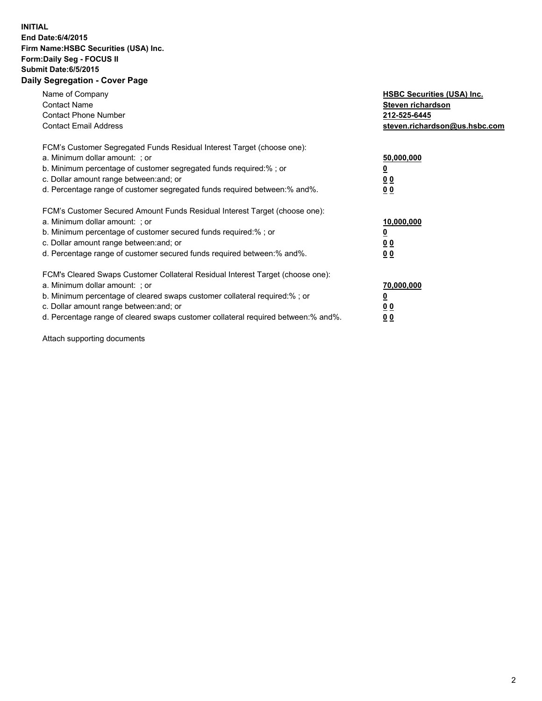## **INITIAL End Date:6/4/2015 Firm Name:HSBC Securities (USA) Inc. Form:Daily Seg - FOCUS II Submit Date:6/5/2015 Daily Segregation - Cover Page**

| Name of Company<br><b>Contact Name</b><br><b>Contact Phone Number</b><br><b>Contact Email Address</b>                                                                                                                                                                                                                          | <b>HSBC Securities (USA) Inc.</b><br>Steven richardson<br>212-525-6445<br>steven.richardson@us.hsbc.com |
|--------------------------------------------------------------------------------------------------------------------------------------------------------------------------------------------------------------------------------------------------------------------------------------------------------------------------------|---------------------------------------------------------------------------------------------------------|
| FCM's Customer Segregated Funds Residual Interest Target (choose one):<br>a. Minimum dollar amount: ; or<br>b. Minimum percentage of customer segregated funds required:%; or<br>c. Dollar amount range between: and; or<br>d. Percentage range of customer segregated funds required between:% and%.                          | 50,000,000<br>00<br>00                                                                                  |
| FCM's Customer Secured Amount Funds Residual Interest Target (choose one):<br>a. Minimum dollar amount: ; or<br>b. Minimum percentage of customer secured funds required:%; or<br>c. Dollar amount range between: and; or<br>d. Percentage range of customer secured funds required between:% and%.                            | 10,000,000<br>0 <sub>0</sub><br>00                                                                      |
| FCM's Cleared Swaps Customer Collateral Residual Interest Target (choose one):<br>a. Minimum dollar amount: ; or<br>b. Minimum percentage of cleared swaps customer collateral required:% ; or<br>c. Dollar amount range between: and; or<br>d. Percentage range of cleared swaps customer collateral required between:% and%. | 70,000,000<br><u>00</u><br><u>00</u>                                                                    |

Attach supporting documents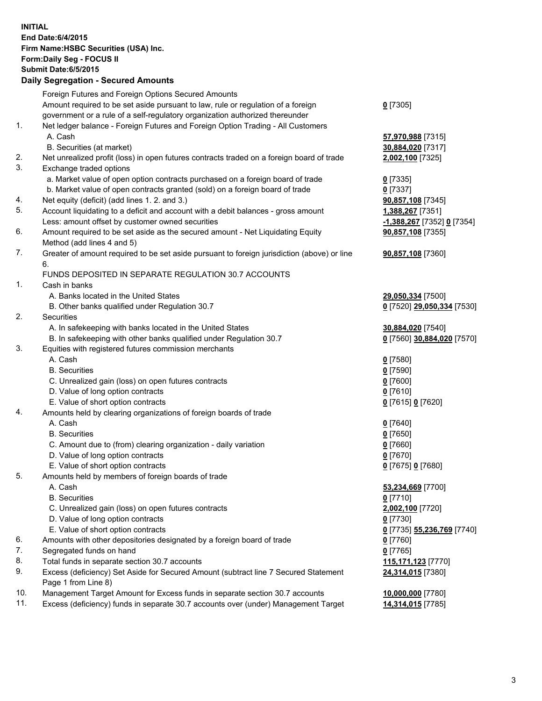**INITIAL End Date:6/4/2015 Firm Name:HSBC Securities (USA) Inc. Form:Daily Seg - FOCUS II Submit Date:6/5/2015 Daily Segregation - Secured Amounts** Foreign Futures and Foreign Options Secured Amounts Amount required to be set aside pursuant to law, rule or regulation of a foreign government or a rule of a self-regulatory organization authorized thereunder **0** [7305] 1. Net ledger balance - Foreign Futures and Foreign Option Trading - All Customers A. Cash **57,970,988** [7315] B. Securities (at market) **30,884,020** [7317] 2. Net unrealized profit (loss) in open futures contracts traded on a foreign board of trade **2,002,100** [7325] 3. Exchange traded options a. Market value of open option contracts purchased on a foreign board of trade **0** [7335] b. Market value of open contracts granted (sold) on a foreign board of trade **0** [7337] 4. Net equity (deficit) (add lines 1. 2. and 3.) **90,857,108** [7345] 5. Account liquidating to a deficit and account with a debit balances - gross amount **1,388,267** [7351] Less: amount offset by customer owned securities **-1,388,267** [7352] **0** [7354] 6. Amount required to be set aside as the secured amount - Net Liquidating Equity Method (add lines 4 and 5) **90,857,108** [7355] 7. Greater of amount required to be set aside pursuant to foreign jurisdiction (above) or line 6. **90,857,108** [7360] FUNDS DEPOSITED IN SEPARATE REGULATION 30.7 ACCOUNTS 1. Cash in banks A. Banks located in the United States **29,050,334** [7500] B. Other banks qualified under Regulation 30.7 **0** [7520] **29,050,334** [7530] 2. Securities A. In safekeeping with banks located in the United States **30,884,020** [7540] B. In safekeeping with other banks qualified under Regulation 30.7 **0** [7560] **30,884,020** [7570] 3. Equities with registered futures commission merchants A. Cash **0** [7580] B. Securities **0** [7590] C. Unrealized gain (loss) on open futures contracts **0** [7600] D. Value of long option contracts **0** [7610] E. Value of short option contracts **0** [7615] **0** [7620] 4. Amounts held by clearing organizations of foreign boards of trade A. Cash **0** [7640] B. Securities **0** [7650] C. Amount due to (from) clearing organization - daily variation **0** [7660] D. Value of long option contracts **0** [7670] E. Value of short option contracts **0** [7675] **0** [7680] 5. Amounts held by members of foreign boards of trade A. Cash **53,234,669** [7700] B. Securities **0** [7710] C. Unrealized gain (loss) on open futures contracts **2,002,100** [7720] D. Value of long option contracts **0** [7730] E. Value of short option contracts **0** [7735] **55,236,769** [7740] 6. Amounts with other depositories designated by a foreign board of trade **0** [7760] 7. Segregated funds on hand **0** [7765] 8. Total funds in separate section 30.7 accounts **115,171,123** [7770] 9. Excess (deficiency) Set Aside for Secured Amount (subtract line 7 Secured Statement Page 1 from Line 8) **24,314,015** [7380] 10. Management Target Amount for Excess funds in separate section 30.7 accounts **10,000,000** [7780] 11. Excess (deficiency) funds in separate 30.7 accounts over (under) Management Target **14,314,015** [7785]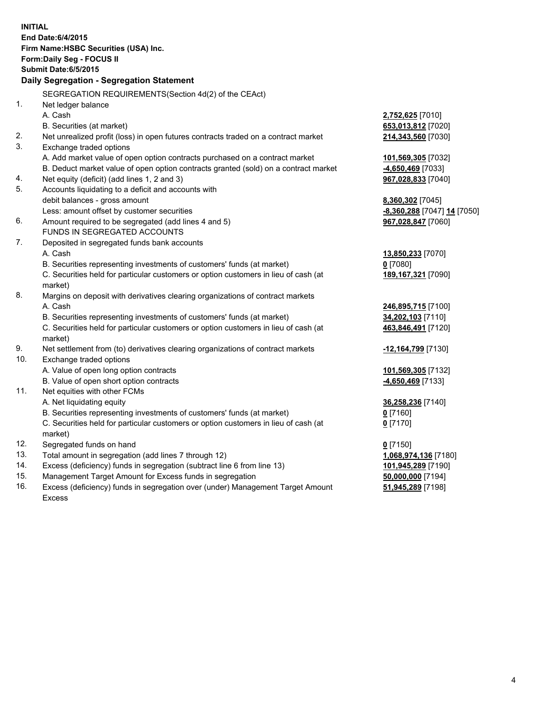| <b>INITIAL</b> | End Date: 6/4/2015<br>Firm Name: HSBC Securities (USA) Inc.<br>Form: Daily Seg - FOCUS II      |                             |  |  |  |  |
|----------------|------------------------------------------------------------------------------------------------|-----------------------------|--|--|--|--|
|                | <b>Submit Date:6/5/2015</b>                                                                    |                             |  |  |  |  |
|                | Daily Segregation - Segregation Statement                                                      |                             |  |  |  |  |
|                | SEGREGATION REQUIREMENTS(Section 4d(2) of the CEAct)                                           |                             |  |  |  |  |
| 1.             | Net ledger balance                                                                             |                             |  |  |  |  |
|                | A. Cash                                                                                        | 2,752,625 [7010]            |  |  |  |  |
|                | B. Securities (at market)                                                                      | 653,013,812 [7020]          |  |  |  |  |
| 2.             | Net unrealized profit (loss) in open futures contracts traded on a contract market             | 214,343,560 [7030]          |  |  |  |  |
| 3.             | Exchange traded options                                                                        |                             |  |  |  |  |
|                | A. Add market value of open option contracts purchased on a contract market                    | 101,569,305 [7032]          |  |  |  |  |
|                | B. Deduct market value of open option contracts granted (sold) on a contract market            | -4,650,469 [7033]           |  |  |  |  |
| 4.             | Net equity (deficit) (add lines 1, 2 and 3)                                                    | 967,028,833 [7040]          |  |  |  |  |
| 5.             | Accounts liquidating to a deficit and accounts with                                            |                             |  |  |  |  |
|                | debit balances - gross amount                                                                  | 8,360,302 [7045]            |  |  |  |  |
|                | Less: amount offset by customer securities                                                     | -8,360,288 [7047] 14 [7050] |  |  |  |  |
| 6.             | Amount required to be segregated (add lines 4 and 5)                                           | 967,028,847 [7060]          |  |  |  |  |
|                | FUNDS IN SEGREGATED ACCOUNTS                                                                   |                             |  |  |  |  |
| 7.             | Deposited in segregated funds bank accounts                                                    |                             |  |  |  |  |
|                | A. Cash                                                                                        | 13,850,233 [7070]           |  |  |  |  |
|                | B. Securities representing investments of customers' funds (at market)                         | $0$ [7080]                  |  |  |  |  |
|                | C. Securities held for particular customers or option customers in lieu of cash (at            | 189, 167, 321 [7090]        |  |  |  |  |
|                | market)                                                                                        |                             |  |  |  |  |
| 8.             | Margins on deposit with derivatives clearing organizations of contract markets                 |                             |  |  |  |  |
|                | A. Cash                                                                                        | 246,895,715 [7100]          |  |  |  |  |
|                | B. Securities representing investments of customers' funds (at market)                         | 34,202,103 [7110]           |  |  |  |  |
|                | C. Securities held for particular customers or option customers in lieu of cash (at<br>market) | 463,846,491 [7120]          |  |  |  |  |
| 9.             | Net settlement from (to) derivatives clearing organizations of contract markets                | -12,164,799 [7130]          |  |  |  |  |
| 10.            | Exchange traded options                                                                        |                             |  |  |  |  |
|                | A. Value of open long option contracts                                                         | 101,569,305 [7132]          |  |  |  |  |
|                | B. Value of open short option contracts                                                        | -4,650,469 [7133]           |  |  |  |  |
| 11.            | Net equities with other FCMs                                                                   |                             |  |  |  |  |
|                | A. Net liquidating equity                                                                      | 36,258,236 [7140]           |  |  |  |  |
|                | B. Securities representing investments of customers' funds (at market)                         | $0$ [7160]                  |  |  |  |  |
|                | C. Securities held for particular customers or option customers in lieu of cash (at<br>market) | $0$ [7170]                  |  |  |  |  |
| 12.            | Segregated funds on hand                                                                       | $0$ [7150]                  |  |  |  |  |
| 13.            | Total amount in segregation (add lines 7 through 12)                                           | 1,068,974,136 [7180]        |  |  |  |  |
| 14.            | Excess (deficiency) funds in segregation (subtract line 6 from line 13)                        | 101,945,289 [7190]          |  |  |  |  |
| 15.            | Management Target Amount for Excess funds in segregation                                       | 50,000,000 [7194]           |  |  |  |  |
| 16.            | Excess (deficiency) funds in segregation over (under) Management Target Amount                 | 51,945,289 [7198]           |  |  |  |  |

16. Excess (deficiency) funds in segregation over (under) Management Target Amount Excess